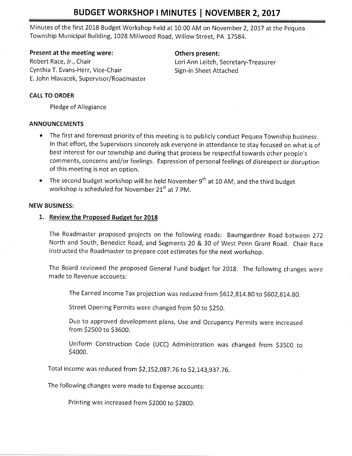# BUDGET WORKSHOP I MINUTES | NOVEMBER 2, 2017

Minutes of the first 2018 Budget Workshop held at 10:00 AM on November 2,2017 at the Pequea Township Municipal Building, L028 Millwood Road, Willow Street, pA 17584.

### Present at the meeting were: Changeler Mothers present:

Robert Race, Jr., Chair **Lori Ann Leitch, Secretary-Treasurer** Cynthia T. Evans-Herr, Vice-Chair Summann Sign-in Sheet Attached E. John Hlavacek, Supervisor/Roadmaster

## CALL TO ORDER

Pledge of Allegiance

## ANNOUNCEMENTS

- The first and foremost priority of this meeting is to publicly conduct Pequea Township business. In that effort, the Supervisors sincerely ask everyone in attendance to stay focused on what is of best interest for our township and during that process be respectful towards other people's comments, concerns and/or feelings. Expression of personal feelings of disrespect or disruption of this meeting is not an option.
- The second budget workshop will be held November  $9<sup>th</sup>$  at 10 AM, and the third budget workshop is scheduled for November  $21<sup>st</sup>$  at 7 PM.

#### NEW BUSINESS:

## 1. Review the Proposed Budget for 2018

The Roadmaster proposed projects on the following roads: Baumgardner Road between 272 North and South, Benedict Road, and Segments 20 & 30 of West Penn Grant Road. Chair Race instructed the Roadmaster to prepare cost estimates for the next workshop.

The Board reviewed the proposed General Fund budget for 2018. The following changes were made to Revenue accounts:

The Earned Income Tax projection was reduced from \$612,814.80 to 5602,814,g0.

Street Opening Permits were changed from SO to \$ZSO,

Due to approved development plans, Use and Occupancy Permits were increased from 52500 to 53600.

Uniform Construction Code (UCC) Administration was changed from \$3500 to 54000.

Total income was reduced from \$2,152,087.76 to \$2,143,937.76.

The following changes were made to Expense accounts:

Printing was increased from \$2000 to \$2800.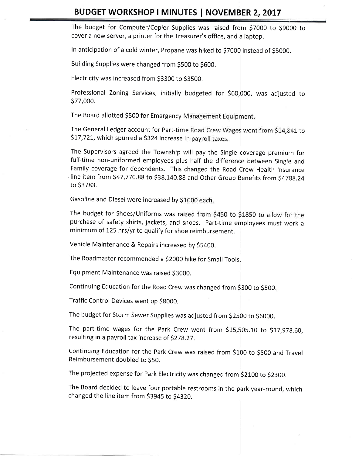The budget for Computer/Copier Supplies was raised from \$7000 to \$9000 to cover a new server, a printer for the Treasurer's office, and a laptop.

In anticipation of a cold winter, propane was hiked to 57000 instead of 55000.

Building Supplies were changed from SSOO to 5OOO.

Electricity was increased from \$3300 to \$3500.

Professional Zoning Services, initially budgeted for \$60,000, was adjusted to 577,000.

The Board allotted \$500 for Emergency Management Equipment.

The General Ledger account for Part-time Road Crew Wages went from \$14,841 to \$17,721, which spurred a \$324 increase in payroll taxes.

The Supervisors agreed the Township will pay the Single coverage premium for full-time non-uniformed employees plus half the difference between Single and Family coverage for dependents. This changed the Road Crew Health Insurance  $\cdot$  line item from \$47,770.88 to \$38,140.88 and Other Group Benefits from \$4788.24 to 53783.

Gasoline and Diesel were increased by \$1000 each.

The budget for Shoes/Uniforms was raised from \$450 to \$1850 to allow for the purchase of safety shirts, jackets, and shoes. part-time employees must work <sup>a</sup> minimum of L25 hrs/yr to qualify for shoe reimbursement.

Vehicle Maintenance & Repairs increased by \$5400.

The Roadmaster recommended a \$2000 hike for Small Tools.

Equipment Maintenance was raised S3OOO.

Continuing Education for the Road Crew was changed from \$300 to \$500.

Traffic Control Devices went up SSOOO.

The budget for Storm Sewer Supplies was adjusted from \$2500 to \$6000.

The part-time wages for the Park Crew went from  $$15,505.10$  to  $$17,978.60$ , resulting in a payroll tax increase of \$278.27.

Continuing Education for the Park Crew was raised from  $$100$  to  $$500$  and Travel Reimbursement doubled to S50.

The projected expense for Park Electricity was changed from \$2100 to \$2300.

The Board decided to leave four portable restrooms in the park year-round, which changed the line item from \$3945 to \$4320.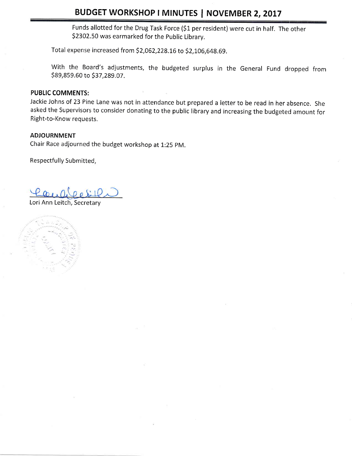# BUDGET WORKSHOP I MINUTES | NOVEMBER 2, 2017

Funds allotted for the Drug Task Force (\$1 per resident) were cut in half. The other 52302.50 was earmarked for the public Library.

Total expense increased from \$2,062,228.16 to \$2,106,648.69.

With the Board's adjustments, the budgeted surplus in the General Fund dropped from 589,859.60 to 537,289.07 .

## PUBLIC COMMENTS:

Jackie Johns of 23 Pine Lane was not in attendance but prepared a letter to be read in her absence, She asked the Supervisors to consider donating to the public library and increasing the budgeted amount for Right-to-Know requests.

#### ADJOURNMENT

Chair Race adjourned the budget workshop at 1:25 pM.

Respectfully Submitted,

Lori Ann Leitch, Secretary